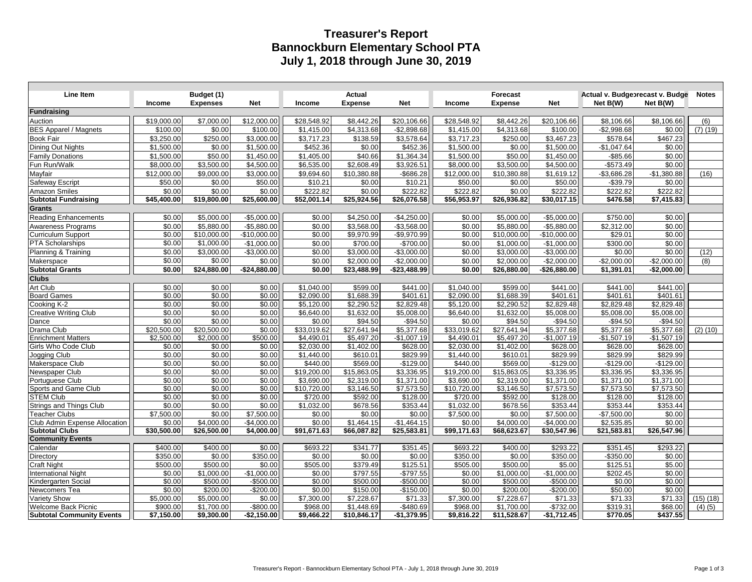## **Treasurer's Report Bannockburn Elementary School PTA July 1, 2018 through June 30, 2019**

| Line Item                        | Income      | Budget (1)<br><b>Expenses</b> | <b>Net</b>    | <b>Income</b> | <b>Actual</b><br><b>Expense</b> | <b>Net</b>              | Income      | <b>Forecast</b><br><b>Expense</b> | <b>Net</b>    | Actual v. Budgebrecast v. Budge<br>Net B(W) | Net B(W)     | <b>Notes</b>  |
|----------------------------------|-------------|-------------------------------|---------------|---------------|---------------------------------|-------------------------|-------------|-----------------------------------|---------------|---------------------------------------------|--------------|---------------|
| <b>Fundraising</b>               |             |                               |               |               |                                 |                         |             |                                   |               |                                             |              |               |
| Auction                          | \$19,000.00 | \$7,000.00                    | \$12,000.00   | \$28,548.92   | \$8,442.26                      | \$20,106.66             | \$28,548.92 | \$8,442.26                        | \$20,106.66   | \$8,106.66                                  | \$8,106.66   | (6)           |
| <b>BES Apparel / Magnets</b>     | \$100.00    | \$0.00                        | \$100.00      | \$1,415.00    | \$4,313.68                      | $-$2.898.68$            | \$1,415.00  | \$4.313.68                        | \$100.00      | $-$2.998.68$                                | \$0.00       | $(7)$ $(19)$  |
| <b>Book Fair</b>                 | \$3,250.00  | \$250.00                      | \$3,000.00    | \$3,717.23    | \$138.59                        | \$3,578.64              | \$3,717.23  | \$250.00                          | \$3,467.23    | \$578.64                                    | \$467.23     |               |
| Dining Out Nights                | \$1,500.00  | \$0.00                        | \$1,500.00    | \$452.36      | \$0.00                          | \$452.36                | \$1,500.00  | \$0.00                            | \$1,500.00    | $-$1,047.64$                                | \$0.00       |               |
| <b>Family Donations</b>          | \$1,500.00  | \$50.00                       | \$1,450.00    | \$1,405.00    | \$40.66                         | \$1,364.34              | \$1,500.00  | \$50.00                           | \$1,450.00    | $-$ \$85.66                                 | \$0.00       |               |
| Fun Run/Walk                     | \$8,000.00  | \$3,500.00                    | \$4,500.00    | \$6,535.00    | \$2,608.49                      | \$3,926.51              | \$8,000.00  | \$3,500.00                        | \$4,500.00    | $-$573.49$                                  | \$0.00       |               |
| Mayfair                          | \$12,000.00 | \$9,000.00                    | \$3,000.00    | \$9,694.60    | \$10,380.88                     | $-$ \$686.28            | \$12,000.00 | \$10,380.88                       | \$1,619.12    | $-$3,686.28$                                | $-$1,380.88$ | (16)          |
| Safeway Escript                  | \$50.00     | \$0.00                        | \$50.00       | \$10.21       | \$0.00                          | \$10.21                 | \$50.00     | \$0.00                            | \$50.00       | $-$39.79$                                   | \$0.00       |               |
| <b>Amazon Smiles</b>             | \$0.00      | \$0.00                        | \$0.00        | \$222.82      | \$0.00                          | \$222.82                | \$222.82    | \$0.00                            | \$222.82      | \$222.82                                    | \$222.82     |               |
| <b>Subtotal Fundraising</b>      | \$45,400.00 | \$19,800.00                   | \$25,600.00   | \$52,001.14   | \$25,924.56                     | $\overline{$26,076.58}$ | \$56,953.97 | \$26,936.82                       | \$30,017.15   | \$476.58                                    | \$7,415.83   |               |
| <b>Grants</b>                    |             |                               |               |               |                                 |                         |             |                                   |               |                                             |              |               |
| <b>Reading Enhancements</b>      | \$0.00      | \$5,000.00                    | $-$5,000.00$  | \$0.00        | \$4,250.00                      | $-$4,250.00$            | \$0.00      | \$5,000.00                        | $-$5,000.00$  | \$750.00                                    | \$0.00       |               |
| <b>Awareness Programs</b>        | \$0.00      | \$5,880.00                    | $-$5,880.00$  | \$0.00        | \$3,568.00                      | $-$3,568.00$            | \$0.00      | \$5,880.00                        | $-$5,880.00$  | \$2,312.00                                  | \$0.00       |               |
| <b>Curriculum Support</b>        | \$0.00      | \$10,000.00                   | $-$10.000.00$ | \$0.00        | \$9.970.99                      | -\$9,970.99             | \$0.00      | \$10,000.00                       | $-$10,000.00$ | \$29.01                                     | \$0.00       |               |
| <b>PTA Scholarships</b>          | \$0.00      | \$1,000.00                    | $-$1,000.00$  | \$0.00        | \$700.00                        | $-$700.00$              | \$0.00      | \$1,000.00                        | $-$1,000.00$  | \$300.00                                    | \$0.00       |               |
| Planning & Training              | \$0.00      | \$3,000.00                    | $-$3,000.00$  | \$0.00        | \$3,000.00                      | $-$3,000.00$            | \$0.00      | \$3,000.00                        | $-$3,000.00$  | \$0.00                                      | \$0.00       | (12)          |
| Makerspace                       | \$0.00      | \$0.00                        | \$0.00        | \$0.00        | \$2,000.00                      | $-$2,000.00$            | \$0.00      | \$2,000.00                        | $-$2,000.00$  | $-$2,000.00$                                | $-$2,000.00$ | (8)           |
| <b>Subtotal Grants</b>           | \$0.00      | \$24,880.00                   | $-$24,880.00$ | \$0.00        | \$23,488.99                     | -\$23,488.99            | \$0.00      | \$26,880.00                       | \$26,880.00   | \$1,391.01                                  | -\$2,000.00  |               |
| <b>Clubs</b>                     |             |                               |               |               |                                 |                         |             |                                   |               |                                             |              |               |
| Art Club                         | \$0.00      | \$0.00                        | \$0.00        | \$1,040.00    | \$599.00                        | \$441.00                | \$1,040.00  | \$599.00                          | \$441.00      | \$441.00                                    | \$441.00     |               |
| <b>Board Games</b>               | \$0.00      | \$0.00                        | \$0.00        | \$2,090.00    | \$1,688.39                      | \$401.61                | \$2,090.00  | \$1,688.39                        | \$401.61      | \$401.61                                    | \$401.61     |               |
| Cooking K-2                      | \$0.00      | \$0.00                        | \$0.00        | \$5,120.00    | \$2.290.52                      | \$2.829.48              | \$5,120.00  | \$2.290.52                        | \$2.829.48    | \$2.829.48                                  | \$2.829.48   |               |
| <b>Creative Writing Club</b>     | \$0.00      | \$0.00                        | \$0.00        | \$6,640.00    | \$1,632.00                      | \$5,008.00              | \$6,640.00  | \$1,632.00                        | \$5,008.00    | \$5,008.00                                  | \$5,008.00   |               |
| Dance                            | \$0.00      | \$0.00                        | \$0.00        | \$0.00        | \$94.50                         | $-$94.50$               | \$0.00      | \$94.50                           | $-$94.50$     | $-$94.50$                                   | $-$94.50$    |               |
| Drama Club                       | \$20,500.00 | \$20,500.00                   | \$0.00        | \$33,019.62   | \$27,641.94                     | \$5,377.68              | \$33,019.62 | \$27,641.94                       | \$5,377.68    | \$5,377.68                                  | \$5,377.68   | $(2)$ (10)    |
| <b>Enrichment Matters</b>        | \$2,500.00  | \$2,000.00                    | \$500.00      | \$4.490.01    | \$5.497.20                      | $-$1,007.19$            | \$4,490.01  | \$5.497.20                        | $-$1,007.19$  | $-$1,507.19$                                | $-$1,507.19$ |               |
| Girls Who Code Club              | \$0.00      | \$0.00                        | \$0.00        | \$2,030.00    | \$1,402.00                      | \$628.00                | \$2,030.00  | \$1,402.00                        | \$628.00      | \$628.00                                    | \$628.00     |               |
| Jogging Club                     | \$0.00      | \$0.00                        | \$0.00        | \$1,440.00    | \$610.01                        | \$829.99                | \$1,440.00  | \$610.01                          | \$829.99      | \$829.99                                    | \$829.99     |               |
| Makerspace Club                  | \$0.00      | \$0.00                        | \$0.00        | \$440.00      | \$569.00                        | $-$129.00$              | \$440.00    | \$569.00                          | $-$129.00$    | $-$129.00$                                  | $-$129.00$   |               |
| Newspaper Club                   | \$0.00      | \$0.00                        | \$0.00        | \$19,200.00   | $\overline{$15,863.05}$         | \$3,336.95              | \$19,200.00 | \$15.863.05                       | \$3,336.95    | \$3,336.95                                  | \$3,336.95   |               |
| Portuguese Club                  | \$0.00      | \$0.00                        | \$0.00        | \$3,690.00    | \$2,319.00                      | \$1,371.00              | \$3,690.00  | \$2,319.00                        | \$1,371.00    | \$1,371.00                                  | \$1,371.00   |               |
| Sports and Game Club             | \$0.00      | \$0.00                        | \$0.00        | \$10.720.00   | \$3.146.50                      | \$7,573.50              | \$10,720.00 | \$3.146.50                        | \$7,573.50    | \$7,573.50                                  | \$7,573.50   |               |
| <b>STEM Club</b>                 | \$0.00      | \$0.00                        | \$0.00        | \$720.00      | \$592.00                        | \$128.00                | \$720.00    | \$592.00                          | \$128.00      | \$128.00                                    | \$128.00     |               |
| <b>Strings and Things Club</b>   | \$0.00      | \$0.00                        | \$0.00        | \$1,032.00    | \$678.56                        | \$353.44                | \$1,032.00  | \$678.56                          | \$353.44      | \$353.44                                    | \$353.44     |               |
| <b>Teacher Clubs</b>             | \$7,500.00  | \$0.00                        | \$7,500.00    | \$0.00        | \$0.00                          | \$0.00                  | \$7,500.00  | \$0.00                            | \$7,500.00    | $-$7,500.00$                                | \$0.00       |               |
| Club Admin Expense Allocation    | \$0.00      | \$4,000.00                    | $-$4,000.00$  | \$0.00        | \$1,464.15                      | $-$1,464.15$            | \$0.00      | \$4,000.00                        | $-$4,000.00$  | \$2,535.85                                  | \$0.00       |               |
| <b>Subtotal Clubs</b>            | \$30,500.00 | \$26,500.00                   | \$4,000.00    | \$91,671.63   | \$66,087.82                     | \$25,583.81             | \$99,171.63 | \$68,623.67                       | \$30,547.96   | \$21,583.81                                 | \$26,547.96  |               |
| <b>Community Events</b>          |             |                               |               |               |                                 |                         |             |                                   |               |                                             |              |               |
| Calendar                         | \$400.00    | \$400.00                      | \$0.00        | \$693.22      | \$341.77                        | \$351.45                | \$693.22    | \$400.00                          | \$293.22      | \$351.45                                    | \$293.22     |               |
| Directory                        | \$350.00    | \$0.00                        | \$350.00      | \$0.00        | \$0.00                          | \$0.00                  | \$350.00    | \$0.00                            | \$350.00      | $-$350.00$                                  | \$0.00       |               |
| <b>Craft Night</b>               | \$500.00    | \$500.00                      | \$0.00        | \$505.00      | \$379.49                        | \$125.51                | \$505.00    | \$500.00                          | \$5.00        | \$125.51                                    | \$5.00       |               |
| <b>International Night</b>       | \$0.00      | \$1,000.00                    | $-$1,000.00$  | \$0.00        | \$797.55                        | $-$797.55$              | \$0.00      | \$1,000.00                        | $-$1,000.00$  | \$202.45                                    | \$0.00       |               |
| Kindergarten Social              | \$0.00      | \$500.00                      | $-$500.00$    | \$0.00        | \$500.00                        | $-$500.00$              | \$0.00      | \$500.00                          | $-$500.00$    | \$0.00                                      | \$0.00       |               |
| Newcomers Tea                    | \$0.00      | \$200.00                      | $-$200.00$    | \$0.00        | \$150.00                        | $-$150.00$              | \$0.00      | \$200.00                          | $-$200.00$    | \$50.00                                     | \$0.00       |               |
| <b>Variety Show</b>              | \$5,000.00  | \$5,000.00                    | \$0.00        | \$7,300.00    | \$7,228.67                      | \$71.33                 | \$7,300.00  | \$7,228.67                        | \$71.33       | \$71.33                                     | \$71.33      | $(15)$ $(18)$ |
| <b>Welcome Back Picnic</b>       | \$900.00    | \$1,700.00                    | -\$800.00     | \$968.00      | \$1,448.69                      | $-$480.69$              | \$968.00    | \$1,700.00                        | $-$732.00$    | \$319.31                                    | \$68.00      | $(4)$ $(5)$   |
| <b>Subtotal Community Events</b> | \$7,150.00  | \$9,300.00                    | $-$2,150.00$  | \$9,466.22    | \$10,846.17                     | $-$1,379.95$            | \$9,816.22  | \$11,528.67                       | -\$1,712.45   | \$770.05                                    | \$437.55     |               |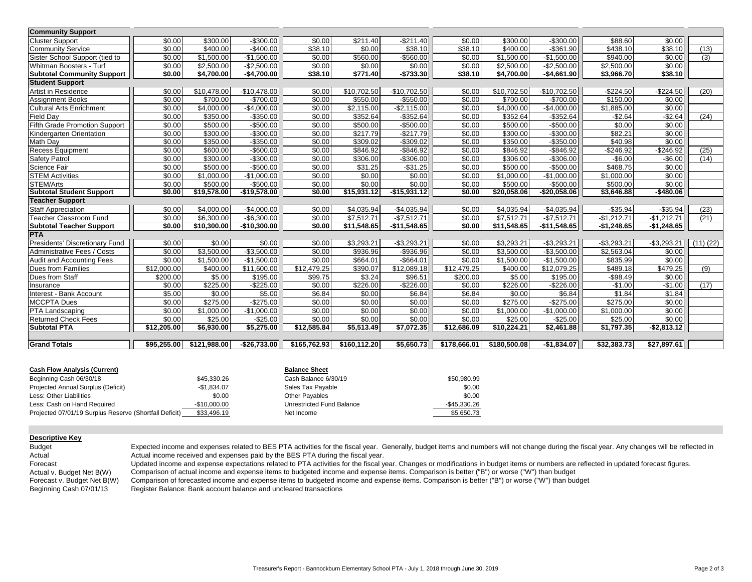| <b>Community Support</b>           |             |              |               |                      |              |               |              |              |               |              |                |          |
|------------------------------------|-------------|--------------|---------------|----------------------|--------------|---------------|--------------|--------------|---------------|--------------|----------------|----------|
| <b>Cluster Support</b>             | \$0.00      | \$300.00     | $-$300.00$    | \$0.00               | \$211.40     | $-$ \$211.40  | \$0.00       | \$300.00     | $-$300.00$    | \$88.60      | \$0.00         |          |
| <b>Community Service</b>           | \$0.00      | \$400.00     | $-$400.00$    | \$38.10              | \$0.00       | \$38.10       | \$38.10      | \$400.00     | $-$361.90$    | \$438.10     | \$38.10        | (13)     |
| Sister School Support (tied to     | \$0.00      | \$1,500.00   | $-$1,500.00$  | \$0.00               | \$560.00     | $-$ \$560.00  | \$0.00       | \$1.500.00   | $-$1,500.00$  | \$940.00     | \$0.00         | (3)      |
| Whitman Boosters - Turf            | \$0.00      | \$2,500.00   | $-$2,500.00$  | \$0.00               | \$0.00       | \$0.00        | \$0.00       | \$2,500.00   | $-$2,500.00$  | \$2,500.00   | \$0.00         |          |
| <b>Subtotal Community Support</b>  | \$0.00      | \$4,700.00   | $-$4,700.00$  | \$38.10              | \$771.40     | $-$733.30$    | \$38.10      | \$4,700.00   | $-$4,661.90$  | \$3,966.70   | \$38.10        |          |
| <b>Student Support</b>             |             |              |               |                      |              |               |              |              |               |              |                |          |
| Artist in Residence                | \$0.00      | \$10,478.00  | $-$10,478.00$ | \$0.00               | \$10,702.50  | $-$10,702.50$ | \$0.00       | \$10,702.50  | $-$10,702.50$ | $-$224.50$   | $-$224.50$     | (20)     |
| <b>Assignment Books</b>            | \$0.00      | \$700.00     | $-$700.00$    | \$0.00               | \$550.00     | $-$550.00$    | \$0.00       | \$700.00     | $-$700.00$    | \$150.00     | \$0.00         |          |
| <b>Cultural Arts Enrichment</b>    | \$0.00      | \$4,000.00   | $-$4,000.00$  | \$0.00               | \$2,115.00   | $-$2,115.00$  | \$0.00       | \$4,000.00   | $-$4,000.00$  | \$1,885.00   | \$0.00         |          |
| <b>Field Day</b>                   | \$0.00      | \$350.00     | $-$350.00$    | \$0.00               | \$352.64     | $-$ \$352.64  | \$0.00       | \$352.64     | $-$ \$352.64  | $-$2.64$     | $-$2.64$       | (24)     |
| Fifth Grade Promotion Support      | \$0.00      | \$500.00     | $-$500.00$    | \$0.00               | \$500.00     | $-$500.00$    | \$0.00       | \$500.00     | $-$500.00$    | \$0.00       | \$0.00         |          |
| Kindergarten Orientation           | \$0.00      | \$300.00     | -\$300.00     | \$0.00               | \$217.79     | $-$217.79$    | \$0.00       | \$300.00     | $-$300.00$    | \$82.21      | \$0.00         |          |
| Math Day                           | \$0.00      | \$350.00     | $-$350.00$    | \$0.00               | \$309.02     | -\$309.02     | \$0.00       | \$350.00     | $-$350.00$    | \$40.98      | \$0.00         |          |
| <b>Recess Equipment</b>            | \$0.00      | \$600.00     | $-$600.00$    | \$0.00               | \$846.92     | $-$ \$846.92  | \$0.00       | \$846.92     | $-$ \$846.92  | $-$246.92$   | $-$246.92$     | (25)     |
| <b>Safety Patrol</b>               | \$0.00      | \$300.00     | $-$300.00$    | \$0.00               | \$306.00     | $-$306.00$    | \$0.00       | \$306.00     | $-$306.00$    | $-$6.00$     | $-$6.00$       | (14)     |
| Science Fair                       | \$0.00      | \$500.00     | $-$500.00$    | \$0.00               | \$31.25      | $-$ \$31.25   | \$0.00       | \$500.00     | $-$500.00$    | \$468.75     | \$0.00         |          |
| <b>STEM Activities</b>             | \$0.00      | \$1,000.00   | $-$1,000.00$  | \$0.00               | \$0.00       | \$0.00        | \$0.00       | \$1.000.00   | $-$1.000.00$  | \$1,000.00   | \$0.00         |          |
| STEM/Arts                          | \$0.00      | \$500.00     | $-$500.00$    | \$0.00               | \$0.00       | \$0.00        | \$0.00       | \$500.00     | $-$500.00$    | \$500.00     | \$0.00         |          |
| <b>Subtotal Student Support</b>    | \$0.00      | \$19,578.00  | $-$19,578.00$ | \$0.00               | \$15,931.12  | $-$15,931.12$ | \$0.00       | \$20,058.06  | $-$20,058.06$ | \$3,646.88   | $-$480.06$     |          |
| <b>Teacher Support</b>             |             |              |               |                      |              |               |              |              |               |              |                |          |
| <b>Staff Appreciation</b>          | \$0.00      | \$4.000.00   | $-$4,000.00$  | \$0.00               | \$4.035.94   | $-$4,035.94$  | \$0.00       | \$4,035.94   | $-$4,035.94$  | $-$35.94$    | $-$35.94$      | (23)     |
| Teacher Classroom Fund             | \$0.00      | \$6,300.00   | $-$6,300.00$  | \$0.00               | \$7.512.71   | $-$7,512.71$  | \$0.00       | \$7.512.71   | $-$7,512.71$  | $-$1,212.71$ | $-$1,212.71$   | (21)     |
| <b>Subtotal Teacher Support</b>    | \$0.00      | \$10,300.00  | $-$10,300.00$ | \$0.00               | \$11,548.65  | $-$11,548.65$ | \$0.00       | \$11,548.65  | $-$11,548.65$ | $-$1,248.65$ | $-$1,248.65$   |          |
| <b>PTA</b>                         |             |              |               |                      |              |               |              |              |               |              |                |          |
| Presidents' Discretionary Fund     | \$0.00      | \$0.00       | \$0.00        | \$0.00               | \$3,293.21   | $-$3,293.21$  | \$0.00       | \$3,293.21   | $-$3,293.21$  | $-$3,293.21$ | $-$3,293.21$   | (11)(22) |
| <b>Administrative Fees / Costs</b> | \$0.00      | \$3,500.00   | $-$3,500.00$  | \$0.00               | \$936.96     | $-$936.96$    | \$0.00       | \$3,500.00   | $-$3,500.00$  | \$2,563.04   | \$0.00         |          |
| Audit and Accounting Fees          | \$0.00      | \$1,500.00   | $-$1,500.00$  | \$0.00               | \$664.01     | $-$664.01$    | \$0.00       | \$1,500.00   | $-$1,500.00$  | \$835.99     | \$0.00         |          |
| Dues from Families                 | \$12,000.00 | \$400.00     | \$11,600.00   | \$12,479.25          | \$390.07     | \$12,089.18   | \$12,479.25  | \$400.00     | \$12,079.25   | \$489.18     | \$479.25       | (9)      |
| Dues from Staff                    | \$200.00    | \$5.00       | \$195.00      | \$99.75              | \$3.24       | \$96.51       | \$200.00     | \$5.00       | \$195.00      | $-$98.49$    | \$0.00         |          |
| Insurance                          | \$0.00      | \$225.00     | $-$225.00$    | \$0.00               | \$226.00     | $-$ \$226.00  | \$0.00       | \$226.00     | $-$ \$226.00  | $-$1.00$     | $-$1.00$       | (17)     |
| Interest - Bank Account            | \$5.00      | \$0.00       | \$5.00        | \$6.84               | \$0.00       | \$6.84        | \$6.84       | \$0.00       | \$6.84        | \$1.84       | \$1.84         |          |
| <b>MCCPTA Dues</b>                 | \$0.00      | \$275.00     | $-$275.00$    | \$0.00               | \$0.00       | \$0.00        | \$0.00       | \$275.00     | $-$275.00$    | \$275.00     | \$0.00         |          |
| PTA Landscaping                    | \$0.00      | \$1,000.00   | $-$1,000.00$  | \$0.00               | \$0.00       | \$0.00        | \$0.00       | \$1,000.00   | $-$1,000.00$  | \$1,000.00   | \$0.00         |          |
| <b>Returned Check Fees</b>         | \$0.00      | \$25.00      | $-$25.00$     | \$0.00               | \$0.00       | \$0.00        | \$0.00       | \$25.00      | $-$25.00$     | \$25.00      | \$0.00         |          |
| <b>Subtotal PTA</b>                | \$12,205.00 | \$6,930.00   | \$5,275.00    | \$12,585.84          | \$5,513.49   | \$7,072.35    | \$12,686.09  | \$10,224.21  | \$2,461.88    | \$1,797.35   | $-$ \$2,813.12 |          |
|                                    |             |              |               |                      |              |               |              |              |               |              |                |          |
| <b>Grand Totals</b>                | \$95,255.00 | \$121,988.00 | $-$26,733.00$ | \$165,762.93         | \$160,112.20 | \$5,650.73    | \$178,666.01 | \$180,500.08 | $-$1,834.07$  | \$32,383.73  | \$27,897.61    |          |
| Cach Flow Analysis (Currant)       |             |              |               | <b>Dolonce Choot</b> |              |               |              |              |               |              |                |          |

| <b>Cash Flow Analysis (Current)</b>                    |               | <b>Balance Sheet</b>      |              |
|--------------------------------------------------------|---------------|---------------------------|--------------|
| Beginning Cash 06/30/18                                | \$45,330,26   | Cash Balance 6/30/19      | \$50,980.99  |
| Projected Annual Surplus (Deficit)                     | $-$1.834.07$  | Sales Tax Payable         | \$0.00       |
| Less: Other Liabilities                                | \$0.00        | <b>Other Pavables</b>     | \$0.00       |
| Less: Cash on Hand Required                            | $-$10.000.00$ | Unrestricted Fund Balance | -\$45,330.26 |
| Projected 07/01/19 Surplus Reserve (Shortfall Deficit) | \$33,496.19   | Net Income                | \$5.650.73   |

| <b>Descriptive Kev</b> |  |  |  |  |  |  |  |  |
|------------------------|--|--|--|--|--|--|--|--|
| <b>Budget</b>          |  |  |  |  |  |  |  |  |

Actual Forecast Expected income and expenses related to BES PTA activities for the fiscal year. Generally, budget items and numbers will not change during the fiscal year. Any changes will be reflected in Actual income received and expenses paid by the BES PTA during the fiscal year.

Updated income and expense expectations related to PTA activities for the fiscal year. Changes or modifications in budget items or numbers are reflected in updated forecast figures.

Actual v. Budget Net B(W) Comparison of actual income and expense items to budgeted income and expense items. Comparison is better ("B") or worse ("W") than budget

Forecast v. Budget Net B(W) Comparison of forecasted income and expense items to budgeted income and expense items. Comparison is better ("B") or worse ("W") than budget

Beginning Cash 07/01/13 Register Balance: Bank account balance and uncleared transactions